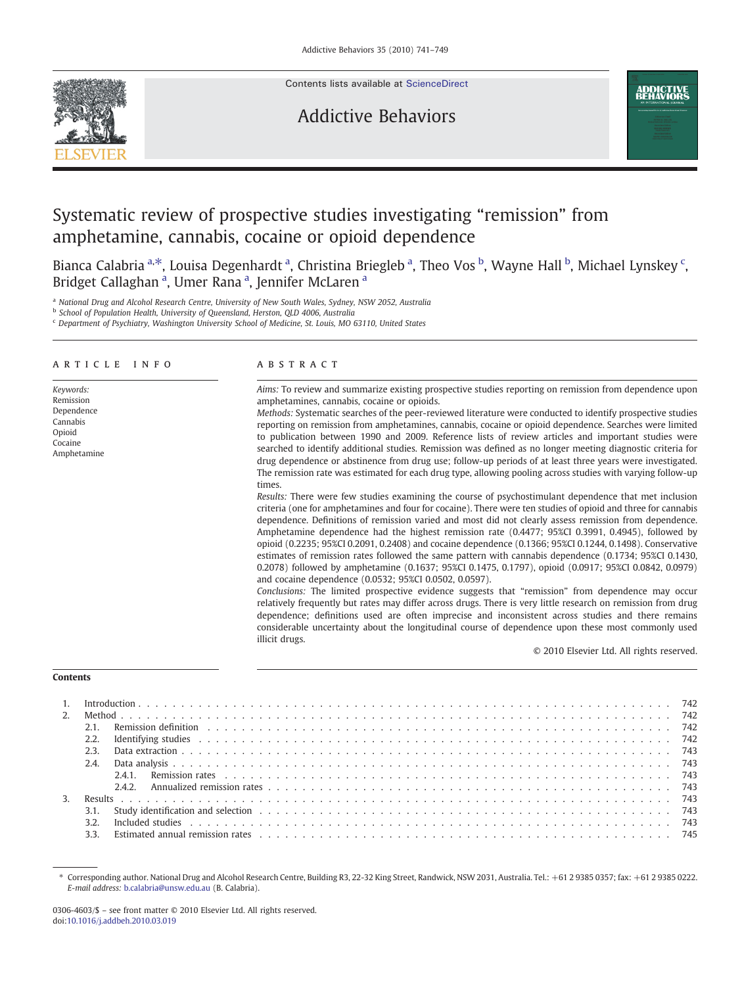

Contents lists available at [ScienceDirect](http://www.sciencedirect.com/science/journal/03064603)

# Addictive Behaviors

# Systematic review of prospective studies investigating "remission" from amphetamine, cannabis, cocaine or opioid dependence

Bianca Calabria <sup>a,\*</sup>, Louisa Degenhardt <sup>a</sup>, Christina Briegleb <sup>a</sup>, Theo Vos <sup>b</sup>, Wayne Hall <sup>b</sup>, Michael Lynskey <sup>c</sup>, Bridget Callaghan <sup>a</sup>, Umer Rana <sup>a</sup>, Jennifer McLaren <sup>a</sup>

a National Drug and Alcohol Research Centre, University of New South Wales, Sydney, NSW 2052, Australia

<sup>b</sup> School of Population Health, University of Queensland, Herston, QLD 4006, Australia

<sup>c</sup> Department of Psychiatry, Washington University School of Medicine, St. Louis, MO 63110, United States

# article info abstract

Keywords: Remission Dependence Cannabis Opioid Cocaine Amphetamine

Aims: To review and summarize existing prospective studies reporting on remission from dependence upon amphetamines, cannabis, cocaine or opioids.

Methods: Systematic searches of the peer-reviewed literature were conducted to identify prospective studies reporting on remission from amphetamines, cannabis, cocaine or opioid dependence. Searches were limited to publication between 1990 and 2009. Reference lists of review articles and important studies were searched to identify additional studies. Remission was defined as no longer meeting diagnostic criteria for drug dependence or abstinence from drug use; follow-up periods of at least three years were investigated. The remission rate was estimated for each drug type, allowing pooling across studies with varying follow-up times.

Results: There were few studies examining the course of psychostimulant dependence that met inclusion criteria (one for amphetamines and four for cocaine). There were ten studies of opioid and three for cannabis dependence. Definitions of remission varied and most did not clearly assess remission from dependence. Amphetamine dependence had the highest remission rate (0.4477; 95%CI 0.3991, 0.4945), followed by opioid (0.2235; 95%CI 0.2091, 0.2408) and cocaine dependence (0.1366; 95%CI 0.1244, 0.1498). Conservative estimates of remission rates followed the same pattern with cannabis dependence (0.1734; 95%CI 0.1430, 0.2078) followed by amphetamine (0.1637; 95%CI 0.1475, 0.1797), opioid (0.0917; 95%CI 0.0842, 0.0979) and cocaine dependence (0.0532; 95%CI 0.0502, 0.0597).

Conclusions: The limited prospective evidence suggests that "remission" from dependence may occur relatively frequently but rates may differ across drugs. There is very little research on remission from drug dependence; definitions used are often imprecise and inconsistent across studies and there remains considerable uncertainty about the longitudinal course of dependence upon these most commonly used illicit drugs.

© 2010 Elsevier Ltd. All rights reserved.

# Contents

|      | 742                                                                                                                                                                                                                            |
|------|--------------------------------------------------------------------------------------------------------------------------------------------------------------------------------------------------------------------------------|
|      | 742                                                                                                                                                                                                                            |
|      |                                                                                                                                                                                                                                |
| 2.4. |                                                                                                                                                                                                                                |
|      | 2.4.1                                                                                                                                                                                                                          |
|      |                                                                                                                                                                                                                                |
|      |                                                                                                                                                                                                                                |
|      | Study identification and selection enterpreteration of the content of the content of the content of the content of the content of the content of the content of the content of the content of the content of the content of th |
| 39   |                                                                                                                                                                                                                                |
|      | 745                                                                                                                                                                                                                            |

Corresponding author. National Drug and Alcohol Research Centre, Building R3, 22-32 King Street, Randwick, NSW 2031, Australia. Tel.: +61 2 9385 0357; fax: +61 2 9385 0222. E-mail address: [b.calabria@unsw.edu.au](mailto:b.calabria@unsw.edu.au) (B. Calabria).

<sup>0306-4603/\$</sup> – see front matter © 2010 Elsevier Ltd. All rights reserved. doi:[10.1016/j.addbeh.2010.03.019](http://dx.doi.org/10.1016/j.addbeh.2010.03.019)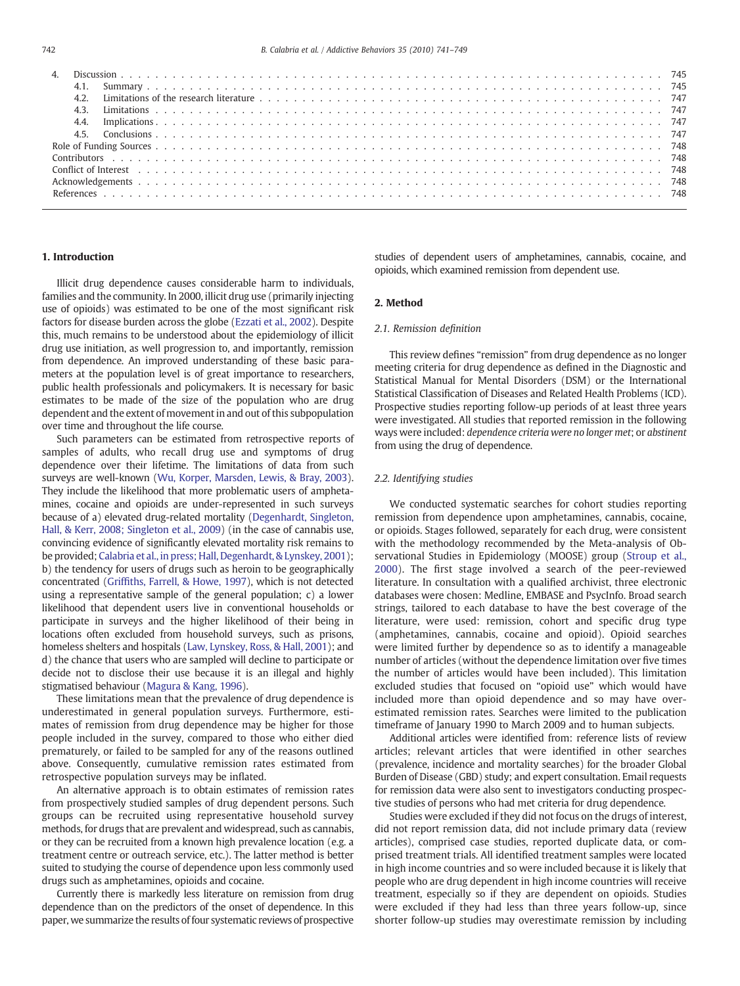| 4.2  |                                                                                                                         |
|------|-------------------------------------------------------------------------------------------------------------------------|
| 4.3. |                                                                                                                         |
| 4.4. |                                                                                                                         |
| 45   |                                                                                                                         |
|      |                                                                                                                         |
|      |                                                                                                                         |
|      | Conflict of Interest responses to the result of the results of the results of the results of Interest response to $748$ |
|      |                                                                                                                         |
|      |                                                                                                                         |
|      |                                                                                                                         |

# 1. Introduction

Illicit drug dependence causes considerable harm to individuals, families and the community. In 2000, illicit drug use (primarily injecting use of opioids) was estimated to be one of the most significant risk factors for disease burden across the globe [\(Ezzati et al., 2002\)](#page-7-0). Despite this, much remains to be understood about the epidemiology of illicit drug use initiation, as well progression to, and importantly, remission from dependence. An improved understanding of these basic parameters at the population level is of great importance to researchers, public health professionals and policymakers. It is necessary for basic estimates to be made of the size of the population who are drug dependent and the extent of movement in and out of this subpopulation over time and throughout the life course.

Such parameters can be estimated from retrospective reports of samples of adults, who recall drug use and symptoms of drug dependence over their lifetime. The limitations of data from such surveys are well-known ([Wu, Korper, Marsden, Lewis, & Bray, 2003\)](#page-8-0). They include the likelihood that more problematic users of amphetamines, cocaine and opioids are under-represented in such surveys because of a) elevated drug-related mortality [\(Degenhardt, Singleton,](#page-7-0) [Hall, & Kerr, 2008; Singleton et al., 2009\)](#page-7-0) (in the case of cannabis use, convincing evidence of significantly elevated mortality risk remains to be provided; [Calabria et al., in press; Hall, Degenhardt, & Lynskey, 2001\)](http://dx.doi.org/10.1111/j.14653362.2009.00149.x); b) the tendency for users of drugs such as heroin to be geographically concentrated (Griffi[ths, Farrell, & Howe, 1997](#page-7-0)), which is not detected using a representative sample of the general population; c) a lower likelihood that dependent users live in conventional households or participate in surveys and the higher likelihood of their being in locations often excluded from household surveys, such as prisons, homeless shelters and hospitals ([Law, Lynskey, Ross, & Hall, 2001\)](#page-7-0); and d) the chance that users who are sampled will decline to participate or decide not to disclose their use because it is an illegal and highly stigmatised behaviour [\(Magura & Kang, 1996\)](#page-7-0).

These limitations mean that the prevalence of drug dependence is underestimated in general population surveys. Furthermore, estimates of remission from drug dependence may be higher for those people included in the survey, compared to those who either died prematurely, or failed to be sampled for any of the reasons outlined above. Consequently, cumulative remission rates estimated from retrospective population surveys may be inflated.

An alternative approach is to obtain estimates of remission rates from prospectively studied samples of drug dependent persons. Such groups can be recruited using representative household survey methods, for drugs that are prevalent and widespread, such as cannabis, or they can be recruited from a known high prevalence location (e.g. a treatment centre or outreach service, etc.). The latter method is better suited to studying the course of dependence upon less commonly used drugs such as amphetamines, opioids and cocaine.

Currently there is markedly less literature on remission from drug dependence than on the predictors of the onset of dependence. In this paper, we summarize the results of four systematic reviews of prospective studies of dependent users of amphetamines, cannabis, cocaine, and opioids, which examined remission from dependent use.

#### 2. Method

# 2.1. Remission definition

This review defines "remission" from drug dependence as no longer meeting criteria for drug dependence as defined in the Diagnostic and Statistical Manual for Mental Disorders (DSM) or the International Statistical Classification of Diseases and Related Health Problems (ICD). Prospective studies reporting follow-up periods of at least three years were investigated. All studies that reported remission in the following ways were included: dependence criteria were no longer met; or abstinent from using the drug of dependence.

#### 2.2. Identifying studies

We conducted systematic searches for cohort studies reporting remission from dependence upon amphetamines, cannabis, cocaine, or opioids. Stages followed, separately for each drug, were consistent with the methodology recommended by the Meta-analysis of Observational Studies in Epidemiology (MOOSE) group ([Stroup et al.,](#page-8-0) [2000](#page-8-0)). The first stage involved a search of the peer-reviewed literature. In consultation with a qualified archivist, three electronic databases were chosen: Medline, EMBASE and PsycInfo. Broad search strings, tailored to each database to have the best coverage of the literature, were used: remission, cohort and specific drug type (amphetamines, cannabis, cocaine and opioid). Opioid searches were limited further by dependence so as to identify a manageable number of articles (without the dependence limitation over five times the number of articles would have been included). This limitation excluded studies that focused on "opioid use" which would have included more than opioid dependence and so may have overestimated remission rates. Searches were limited to the publication timeframe of January 1990 to March 2009 and to human subjects.

Additional articles were identified from: reference lists of review articles; relevant articles that were identified in other searches (prevalence, incidence and mortality searches) for the broader Global Burden of Disease (GBD) study; and expert consultation. Email requests for remission data were also sent to investigators conducting prospective studies of persons who had met criteria for drug dependence.

Studies were excluded if they did not focus on the drugs of interest, did not report remission data, did not include primary data (review articles), comprised case studies, reported duplicate data, or comprised treatment trials. All identified treatment samples were located in high income countries and so were included because it is likely that people who are drug dependent in high income countries will receive treatment, especially so if they are dependent on opioids. Studies were excluded if they had less than three years follow-up, since shorter follow-up studies may overestimate remission by including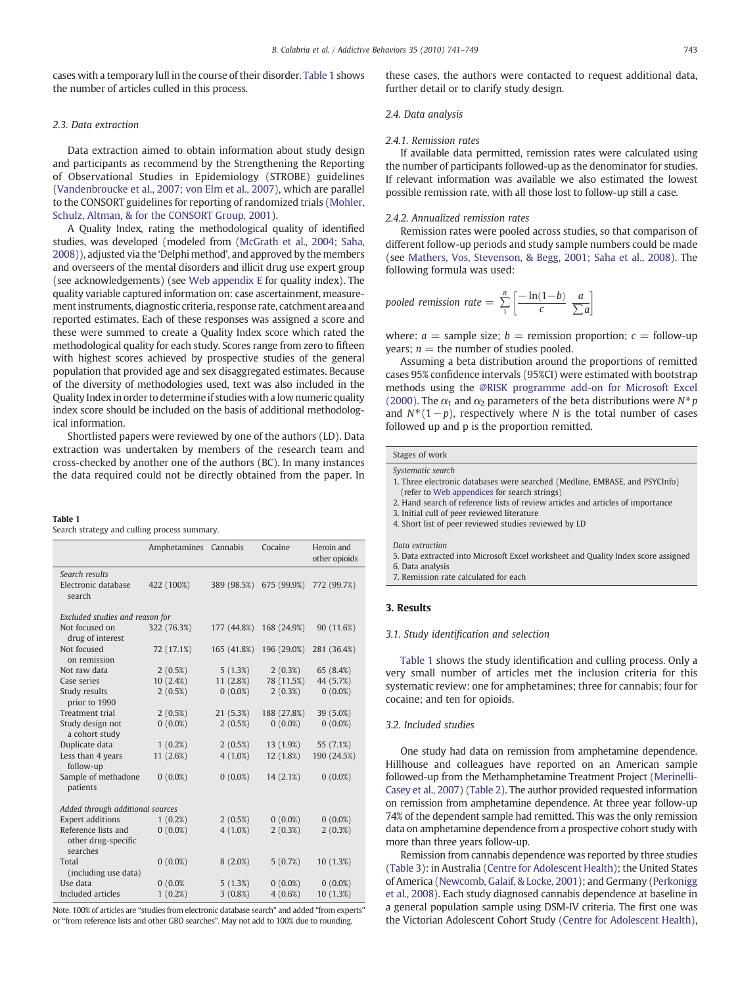cases with a temporary lull in the course of their disorder. Table 1 shows the number of articles culled in this process.

# 2.3. Data extraction

Data extraction aimed to obtain information about study design and participants as recommend by the Strengthening the Reporting of Observational Studies in Epidemiology (STROBE) guidelines [\(Vandenbroucke et al., 2007; von Elm et al., 2007\)](#page-8-0), which are parallel to the CONSORT guidelines for reporting of randomized trials [\(Mohler,](#page-8-0) [Schulz, Altman, & for the CONSORT Group, 2001\)](#page-8-0).

A Quality Index, rating the methodological quality of identified studies, was developed (modeled from [\(McGrath et al., 2004; Saha,](#page-7-0) [2008](#page-7-0))), adjusted via the 'Delphi method', and approved by the members and overseers of the mental disorders and illicit drug use expert group (see acknowledgements) (see [Web appendix E](#page-7-0) for quality index). The quality variable captured information on: case ascertainment, measurement instruments, diagnostic criteria, response rate, catchment area and reported estimates. Each of these responses was assigned a score and these were summed to create a Quality Index score which rated the methodological quality for each study. Scores range from zero to fifteen with highest scores achieved by prospective studies of the general population that provided age and sex disaggregated estimates. Because of the diversity of methodologies used, text was also included in the Quality Index in order to determine if studies with a low numeric quality index score should be included on the basis of additional methodological information.

Shortlisted papers were reviewed by one of the authors (LD). Data extraction was undertaken by members of the research team and cross-checked by another one of the authors (BC). In many instances the data required could not be directly obtained from the paper. In

#### Table 1

Search strategy and culling process summary.

|                                                        | Amphetamines Cannabis |             | Cocaine     | Heroin and<br>other opioids |
|--------------------------------------------------------|-----------------------|-------------|-------------|-----------------------------|
| Search results                                         |                       |             |             |                             |
| Electronic database<br>search                          | 422 (100%)            | 389 (98.5%) | 675 (99.9%) | 772 (99.7%)                 |
| Excluded studies and reason for                        |                       |             |             |                             |
| Not focused on<br>drug of interest                     | 322 (76.3%)           | 177 (44.8%) | 168 (24.9%) | 90 (11.6%)                  |
| Not focused<br>on remission                            | 72 (17.1%)            | 165 (41.8%) | 196 (29.0%) | 281 (36.4%)                 |
| Not raw data                                           | 2(0.5%)               | 5(1.3%)     | $2(0.3\%)$  | 65 (8.4%)                   |
| Case series                                            | 10(2.4%)              | 11(2.8%)    | 78 (11.5%)  | 44 (5.7%)                   |
| Study results<br>prior to 1990                         | $2(0.5\%)$            | $0(0.0\%)$  | $2(0.3\%)$  | $0(0.0\%)$                  |
| <b>Treatment trial</b>                                 | $2(0.5\%)$            | 21(5.3%)    | 188 (27.8%) | 39 (5.0%)                   |
| Study design not<br>a cohort study                     | $0(0.0\%)$            | 2(0.5%)     | $0(0.0\%)$  | $0(0.0\%)$                  |
| Duplicate data                                         | 1(0.2%)               | $2(0.5\%)$  | 13 (1.9%)   | 55 (7.1%)                   |
| Less than 4 years<br>follow-up                         | 11 (2.6%)             | $4(1.0\%)$  | $12(1.8\%)$ | 190 (24.5%)                 |
| Sample of methadone<br>patients                        | $0(0.0\%)$            | $0(0.0\%)$  | 14(2.1%)    | $0(0.0\%)$                  |
| Added through additional sources                       |                       |             |             |                             |
| <b>Expert additions</b>                                | 1(0.2%)               | $2(0.5\%)$  | $0(0.0\%)$  | $0(0.0\%)$                  |
| Reference lists and<br>other drug-specific<br>searches | $0(0.0\%)$            | $4(1.0\%)$  | $2(0.3\%)$  | 2(0.3%)                     |
| Total<br>(including use data)                          | $0(0.0\%)$            | $8(2.0\%)$  | 5(0.7%)     | 10 (1.3%)                   |
| Use data                                               | 0(0.0%                | 5(1.3%)     | $0(0.0\%)$  | $0(0.0\%)$                  |
| Included articles                                      | 1(0.2%                | $3(0.8\%)$  | 4(0.6%)     | 10 (1.3%)                   |

Note. 100% of articles are "studies from electronic database search" and added "from experts" or "from reference lists and other GBD searches". May not add to 100% due to rounding.

these cases, the authors were contacted to request additional data, further detail or to clarify study design.

#### 2.4. Data analysis

#### 2.4.1. Remission rates

If available data permitted, remission rates were calculated using the number of participants followed-up as the denominator for studies. If relevant information was available we also estimated the lowest possible remission rate, with all those lost to follow-up still a case.

#### 2.4.2. Annualized remission rates

Remission rates were pooled across studies, so that comparison of different follow-up periods and study sample numbers could be made (see [Mathers, Vos, Stevenson, & Begg, 2001; Saha et al., 2008\)](#page-7-0). The following formula was used:

$$
pooled \text{ remission rate} = \sum_{1}^{n} \left[ \frac{-\ln(1-b)}{c} \frac{a}{\sum a} \right]
$$

where:  $a =$  sample size;  $b =$  remission proportion;  $c =$  follow-up years;  $n =$  the number of studies pooled.

Assuming a beta distribution around the proportions of remitted cases 95% confidence intervals (95%CI) were estimated with bootstrap methods using the [@RISK programme add-on for Microsoft Excel](#page-7-0) [\(2000\).](#page-7-0) The  $\alpha_1$  and  $\alpha_2$  parameters of the beta distributions were  $N^*p$ and  $N^*(1-p)$ , respectively where N is the total number of cases followed up and p is the proportion remitted.

#### Stages of work

Systematic search

- 1. Three electronic databases were searched (Medline, EMBASE, and PSYCInfo) (refer to [Web appendices](#page-7-0) for search strings)
- 2. Hand search of reference lists of review articles and articles of importance
- 3. Initial cull of peer reviewed literature
- 4. Short list of peer reviewed studies reviewed by LD

Data extraction

5. Data extracted into Microsoft Excel worksheet and Quality Index score assigned 6. Data analysis

7. Remission rate calculated for each

# 3. Results

# 3.1. Study identification and selection

Table 1 shows the study identification and culling process. Only a very small number of articles met the inclusion criteria for this systematic review: one for amphetamines; three for cannabis; four for cocaine; and ten for opioids.

#### 3.2. Included studies

One study had data on remission from amphetamine dependence. Hillhouse and colleagues have reported on an American sample followed-up from the Methamphetamine Treatment Project ([Merinelli-](#page-7-0)[Casey et al., 2007\)](#page-7-0) [\(Table 2](#page-3-0)). The author provided requested information on remission from amphetamine dependence. At three year follow-up 74% of the dependent sample had remitted. This was the only remission data on amphetamine dependence from a prospective cohort study with more than three years follow-up.

Remission from cannabis dependence was reported by three studies [\(Table 3](#page-4-0)): in Australia [\(Centre for Adolescent Health\)](#page-7-0); the United States of America ([Newcomb, Galaif, & Locke, 2001](#page-8-0)); and Germany ([Perkonigg](#page-8-0) [et al., 2008](#page-8-0)). Each study diagnosed cannabis dependence at baseline in a general population sample using DSM-IV criteria. The first one was the Victorian Adolescent Cohort Study [\(Centre for Adolescent Health](#page-7-0)),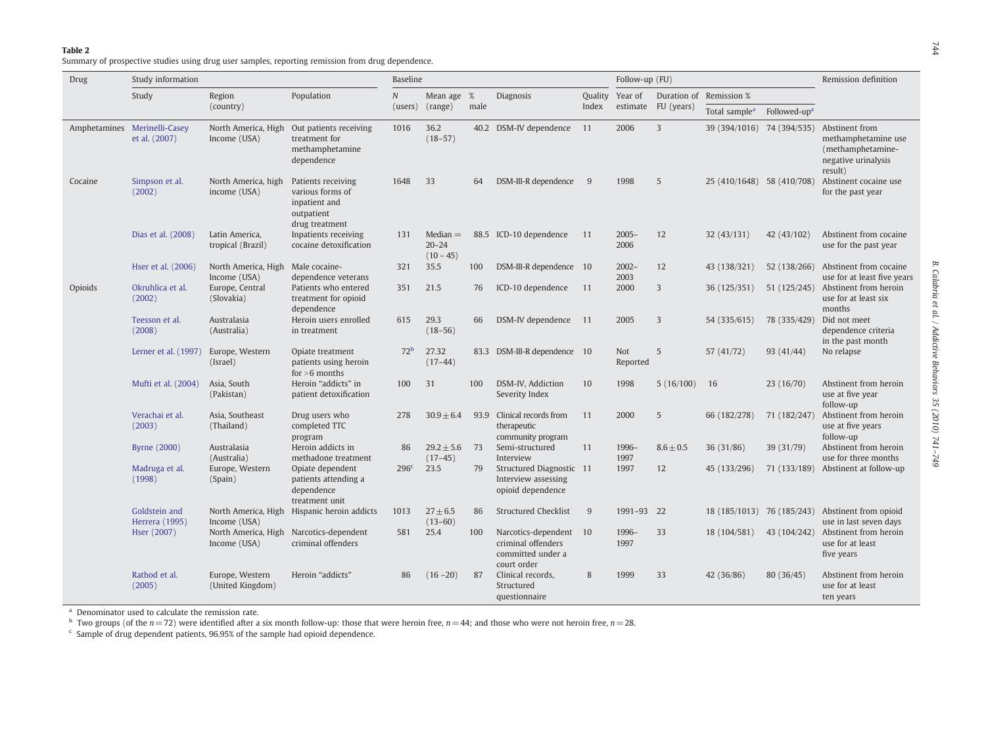<span id="page-3-0"></span>Summary of prospective studies using drug user samples, reporting remission from drug dependence.

| Drug    | Study information                             |                                     |                                                                                         |                  | Baseline                               |      |                                                                                  |         |                        | Follow-up (FU)      | Remission definition       |                          |                                                                                              |
|---------|-----------------------------------------------|-------------------------------------|-----------------------------------------------------------------------------------------|------------------|----------------------------------------|------|----------------------------------------------------------------------------------|---------|------------------------|---------------------|----------------------------|--------------------------|----------------------------------------------------------------------------------------------|
|         | Study                                         | Region                              | Population                                                                              | $\boldsymbol{N}$ | Mean age %                             |      | Diagnosis                                                                        | Quality | Year of                |                     | Duration of Remission %    |                          |                                                                                              |
|         |                                               | (country)                           |                                                                                         | (users)          | (range)                                | male |                                                                                  | Index   |                        | estimate FU (years) | Total sample <sup>a</sup>  | Followed-up <sup>a</sup> |                                                                                              |
|         | Amphetamines Merinelli-Casey<br>et al. (2007) | North America, High<br>Income (USA) | Out patients receiving<br>treatment for<br>methamphetamine<br>dependence                | 1016             | 36.2<br>$(18 - 57)$                    |      | 40.2 DSM-IV dependence                                                           | 11      | 2006                   | 3                   | 39 (394/1016) 74 (394/535) |                          | Abstinent from<br>methamphetamine use<br>(methamphetamine-<br>negative urinalysis<br>result) |
| Cocaine | Simpson et al.<br>(2002)                      | North America, high<br>income (USA) | Patients receiving<br>various forms of<br>inpatient and<br>outpatient<br>drug treatment | 1648             | 33                                     | 64   | DSM-III-R dependence 9                                                           |         | 1998                   | 5                   | 25 (410/1648) 58 (410/708) |                          | Abstinent cocaine use<br>for the past year                                                   |
|         | Dias et al. (2008)                            | Latin America,<br>tropical (Brazil) | Inpatients receiving<br>cocaine detoxification                                          | 131              | $Median =$<br>$20 - 24$<br>$(10 - 45)$ |      | 88.5 ICD-10 dependence                                                           | -11     | $2005 -$<br>2006       | 12                  | 32(43/131)                 | 42 (43/102)              | Abstinent from cocaine<br>use for the past year                                              |
|         | Hser et al. (2006)                            | North America, High<br>Income (USA) | Male cocaine-<br>dependence veterans                                                    | 321              | 35.5                                   | 100  | DSM-III-R dependence 10                                                          |         | $2002 -$<br>2003       | 12                  | 43 (138/321)               | 52 (138/266)             | Abstinent from cocaine<br>use for at least five years                                        |
| Opioids | Okruhlica et al.<br>(2002)                    | Europe, Central<br>(Slovakia)       | Patients who entered<br>treatment for opioid<br>dependence                              | 351              | 21.5                                   | 76   | ICD-10 dependence                                                                | 11      | 2000                   | 3                   | 36 (125/351)               | 51 (125/245)             | Abstinent from heroin<br>use for at least six<br>months                                      |
|         | Teesson et al.<br>(2008)                      | Australasia<br>(Australia)          | Heroin users enrolled<br>in treatment                                                   | 615              | 29.3<br>$(18 - 56)$                    | 66   | DSM-IV dependence 11                                                             |         | 2005                   | 3                   | 54 (335/615)               | 78 (335/429)             | Did not meet<br>dependence criteria<br>in the past month                                     |
|         | Lerner et al. (1997)                          | Europe, Western<br>(Israel)         | Opiate treatment<br>patients using heroin<br>for $>6$ months                            | 72 <sup>b</sup>  | 27.32<br>$(17-44)$                     |      | 83.3 DSM-III-R dependence 10                                                     |         | <b>Not</b><br>Reported | 5                   | 57 (41/72)                 | 93 (41/44)               | No relapse                                                                                   |
|         | Mufti et al. (2004)                           | Asia, South<br>(Pakistan)           | Heroin "addicts" in<br>patient detoxification                                           | 100              | 31                                     | 100  | DSM-IV, Addiction<br>Severity Index                                              | 10      | 1998                   | 5(16/100)           | 16                         | 23 (16/70)               | Abstinent from heroin<br>use at five year<br>follow-up                                       |
|         | Verachai et al.<br>(2003)                     | Asia, Southeast<br>(Thailand)       | Drug users who<br>completed TTC<br>program                                              | 278              | $30.9 \pm 6.4$                         |      | 93.9 Clinical records from<br>therapeutic<br>community program                   | 11      | 2000                   | 5                   | 66 (182/278)               | 71 (182/247)             | Abstinent from heroin<br>use at five years<br>follow-up                                      |
|         | Byrne (2000)                                  | Australasia<br>(Australia)          | Heroin addicts in<br>methadone treatment                                                | 86               | $29.2 \pm 5.6$<br>$(17-45)$            | 73   | Semi-structured<br>Interview                                                     | 11      | 1996-<br>1997          | $8.6 \pm 0.5$       | 36(31/86)                  | 39(31/79)                | Abstinent from heroin<br>use for three months                                                |
|         | Madruga et al.<br>(1998)                      | Europe, Western<br>(Spain)          | Opiate dependent<br>patients attending a<br>dependence<br>treatment unit                | 296 <sup>c</sup> | 23.5                                   | 79   | Structured Diagnostic 11<br>Interview assessing<br>opioid dependence             |         | 1997                   | 12                  | 45 (133/296)               | 71 (133/189)             | Abstinent at follow-up                                                                       |
|         | Goldstein and<br>Herrera (1995)               | Income (USA)                        | North America, High Hispanic heroin addicts                                             | 1013             | $27 \pm 6.5$<br>$(13 - 60)$            | 86   | <b>Structured Checklist</b>                                                      | 9       | 1991-93 22             |                     | 18 (185/1013) 76 (185/243) |                          | Abstinent from opioid<br>use in last seven days                                              |
|         | Hser (2007)                                   | Income (USA)                        | North America, High Narcotics-dependent<br>criminal offenders                           | 581              | 25.4                                   | 100  | Narcotics-dependent 10<br>criminal offenders<br>committed under a<br>court order |         | 1996-<br>1997          | 33                  | 18 (104/581)               | 43 (104/242)             | Abstinent from heroin<br>use for at least<br>five years                                      |
|         | Rathod et al.<br>(2005)                       | Europe, Western<br>(United Kingdom) | Heroin "addicts"                                                                        | 86               | $(16 - 20)$                            | 87   | Clinical records,<br>Structured<br>questionnaire                                 | 8       | 1999                   | 33                  | 42 (36/86)                 | 80(36/45)                | Abstinent from heroin<br>use for at least<br>ten years                                       |

<sup>a</sup> Denominator used to calculate the remission rate.

<sup>b</sup> Two groups (of the  $n=72$ ) were identified after a six month follow-up: those that were heroin free,  $n=44$ ; and those who were not heroin free,  $n=28$ .<br><sup>c</sup> Sample of drug dependent patients, 96.95% of the sample had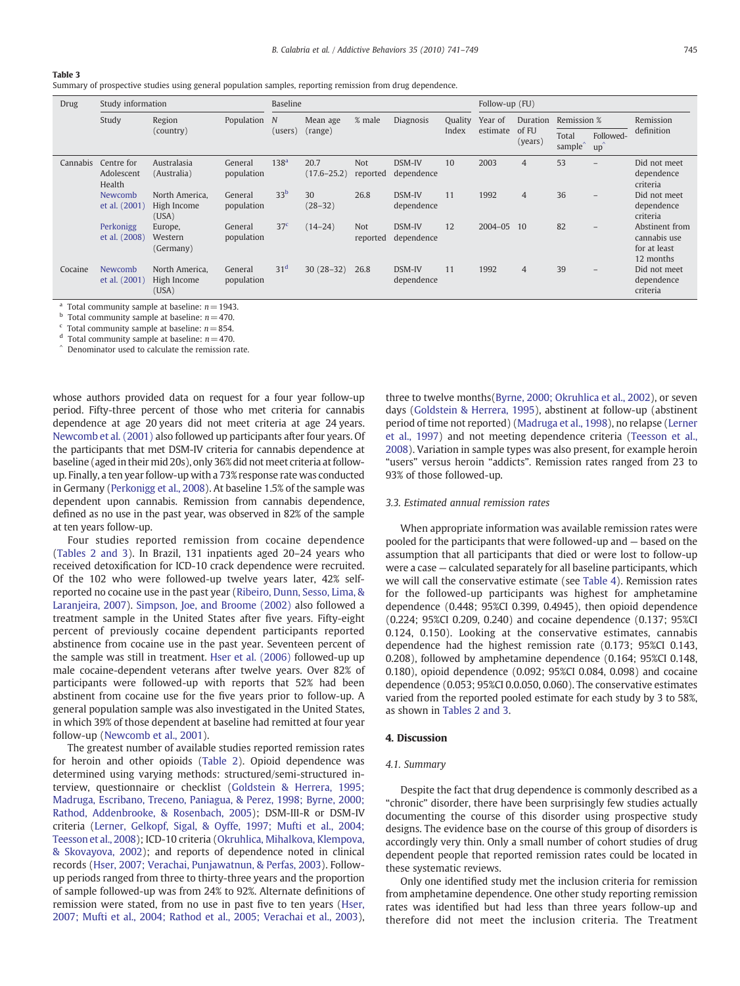#### <span id="page-4-0"></span>Table 3

Summary of prospective studies using general population samples, reporting remission from drug dependence.

| Drug     | Study information                  |                                        |                       |                  | Baseline                |                 |                             |         |            | Follow-up (FU)   |                              |                          |                                                             |  |
|----------|------------------------------------|----------------------------------------|-----------------------|------------------|-------------------------|-----------------|-----------------------------|---------|------------|------------------|------------------------------|--------------------------|-------------------------------------------------------------|--|
|          | Study                              | Region                                 | Population            | - N              | Mean age                | % male          | Diagnosis                   | Quality | Year of    | Duration         | Remission %                  |                          | Remission                                                   |  |
|          |                                    | (country)                              |                       | users)           | (range)                 |                 |                             | Index   | estimate   | of FU<br>(years) | Total<br>sample <sup>^</sup> | Followed-<br>up          | definition                                                  |  |
| Cannabis | Centre for<br>Adolescent<br>Health | Australasia<br>(Australia)             | General<br>population | 138 <sup>a</sup> | 20.7<br>$(17.6 - 25.2)$ | Not<br>reported | DSM-IV<br>dependence        | 10      | 2003       | $\overline{4}$   | 53                           | $\overline{\phantom{0}}$ | Did not meet<br>dependence<br>criteria                      |  |
|          | Newcomb<br>et al. (2001)           | North America.<br>High Income<br>(USA) | General<br>population | 33 <sup>b</sup>  | 30<br>$(28 - 32)$       | 26.8            | <b>DSM-IV</b><br>dependence | 11      | 1992       | $\overline{4}$   | 36                           | $-$                      | Did not meet<br>dependence<br>criteria                      |  |
|          | <b>Perkonigg</b><br>et al. (2008)  | Europe,<br>Western<br>(Germany)        | General<br>population | 37 <sup>c</sup>  | $(14-24)$               | Not<br>reported | DSM-IV<br>dependence        | 12      | 2004-05 10 |                  | 82                           | $\overline{\phantom{0}}$ | Abstinent from<br>cannabis use<br>for at least<br>12 months |  |
| Cocaine  | Newcomb<br>et al. (2001)           | North America.<br>High Income<br>(USA) | General<br>population | 31 <sup>d</sup>  | $30(28-32)$             | 26.8            | DSM-IV<br>dependence        | 11      | 1992       | $\overline{4}$   | 39                           | $\overline{\phantom{0}}$ | Did not meet<br>dependence<br>criteria                      |  |

Total community sample at baseline:  $n = 1943$ .

<sup>b</sup> Total community sample at baseline:  $n = 470$ .

Total community sample at baseline:  $n = 854$ .

<sup>d</sup> Total community sample at baseline:  $n = 470$ .

^ Denominator used to calculate the remission rate.

whose authors provided data on request for a four year follow-up period. Fifty-three percent of those who met criteria for cannabis dependence at age 20 years did not meet criteria at age 24 years. [Newcomb et al. \(2001\)](#page-8-0) also followed up participants after four years. Of the participants that met DSM-IV criteria for cannabis dependence at baseline (aged in their mid 20s), only 36% did not meet criteria at followup. Finally, a ten year follow-up with a 73% response rate was conducted in Germany [\(Perkonigg et al., 2008\)](#page-8-0). At baseline 1.5% of the sample was dependent upon cannabis. Remission from cannabis dependence, defined as no use in the past year, was observed in 82% of the sample at ten years follow-up.

Four studies reported remission from cocaine dependence [\(Tables 2 and 3](#page-3-0)). In Brazil, 131 inpatients aged 20–24 years who received detoxification for ICD-10 crack dependence were recruited. Of the 102 who were followed-up twelve years later, 42% selfreported no cocaine use in the past year ([Ribeiro, Dunn, Sesso, Lima, &](#page-8-0) [Laranjeira, 2007\)](#page-8-0). [Simpson, Joe, and Broome \(2002\)](#page-8-0) also followed a treatment sample in the United States after five years. Fifty-eight percent of previously cocaine dependent participants reported abstinence from cocaine use in the past year. Seventeen percent of the sample was still in treatment. [Hser et al. \(2006\)](#page-7-0) followed-up up male cocaine-dependent veterans after twelve years. Over 82% of participants were followed-up with reports that 52% had been abstinent from cocaine use for the five years prior to follow-up. A general population sample was also investigated in the United States, in which 39% of those dependent at baseline had remitted at four year follow-up [\(Newcomb et al., 2001](#page-8-0)).

The greatest number of available studies reported remission rates for heroin and other opioids [\(Table 2\)](#page-3-0). Opioid dependence was determined using varying methods: structured/semi-structured interview, questionnaire or checklist ([Goldstein & Herrera, 1995;](#page-7-0) [Madruga, Escribano, Treceno, Paniagua, & Perez, 1998; Byrne, 2000;](#page-7-0) [Rathod, Addenbrooke, & Rosenbach, 2005\)](#page-7-0); DSM-III-R or DSM-IV criteria [\(Lerner, Gelkopf, Sigal, & Oyffe, 1997; Mufti et al., 2004;](#page-7-0) [Teesson et al., 2008](#page-7-0)); ICD-10 criteria [\(Okruhlica, Mihalkova, Klempova,](#page-8-0) [& Skovayova, 2002\)](#page-8-0); and reports of dependence noted in clinical records [\(Hser, 2007; Verachai, Punjawatnun, & Perfas, 2003\)](#page-7-0). Followup periods ranged from three to thirty-three years and the proportion of sample followed-up was from 24% to 92%. Alternate definitions of remission were stated, from no use in past five to ten years [\(Hser,](#page-7-0) [2007; Mufti et al., 2004; Rathod et al., 2005; Verachai et al., 2003](#page-7-0)), three to twelve months[\(Byrne, 2000; Okruhlica et al., 2002\)](#page-7-0), or seven days ([Goldstein & Herrera, 1995](#page-7-0)), abstinent at follow-up (abstinent period of time not reported) ([Madruga et al., 1998](#page-7-0)), no relapse [\(Lerner](#page-7-0) [et al., 1997](#page-7-0)) and not meeting dependence criteria [\(Teesson et al.,](#page-8-0) [2008\)](#page-8-0). Variation in sample types was also present, for example heroin "users" versus heroin "addicts". Remission rates ranged from 23 to 93% of those followed-up.

#### 3.3. Estimated annual remission rates

When appropriate information was available remission rates were pooled for the participants that were followed-up and — based on the assumption that all participants that died or were lost to follow-up were a case — calculated separately for all baseline participants, which we will call the conservative estimate (see [Table 4](#page-5-0)). Remission rates for the followed-up participants was highest for amphetamine dependence (0.448; 95%CI 0.399, 0.4945), then opioid dependence (0.224; 95%CI 0.209, 0.240) and cocaine dependence (0.137; 95%CI 0.124, 0.150). Looking at the conservative estimates, cannabis dependence had the highest remission rate (0.173; 95%CI 0.143, 0.208), followed by amphetamine dependence (0.164; 95%CI 0.148, 0.180), opioid dependence (0.092; 95%CI 0.084, 0.098) and cocaine dependence (0.053; 95%CI 0.0.050, 0.060). The conservative estimates varied from the reported pooled estimate for each study by 3 to 58%, as shown in [Tables 2 and 3](#page-3-0).

#### 4. Discussion

#### 4.1. Summary

Despite the fact that drug dependence is commonly described as a "chronic" disorder, there have been surprisingly few studies actually documenting the course of this disorder using prospective study designs. The evidence base on the course of this group of disorders is accordingly very thin. Only a small number of cohort studies of drug dependent people that reported remission rates could be located in these systematic reviews.

Only one identified study met the inclusion criteria for remission from amphetamine dependence. One other study reporting remission rates was identified but had less than three years follow-up and therefore did not meet the inclusion criteria. The Treatment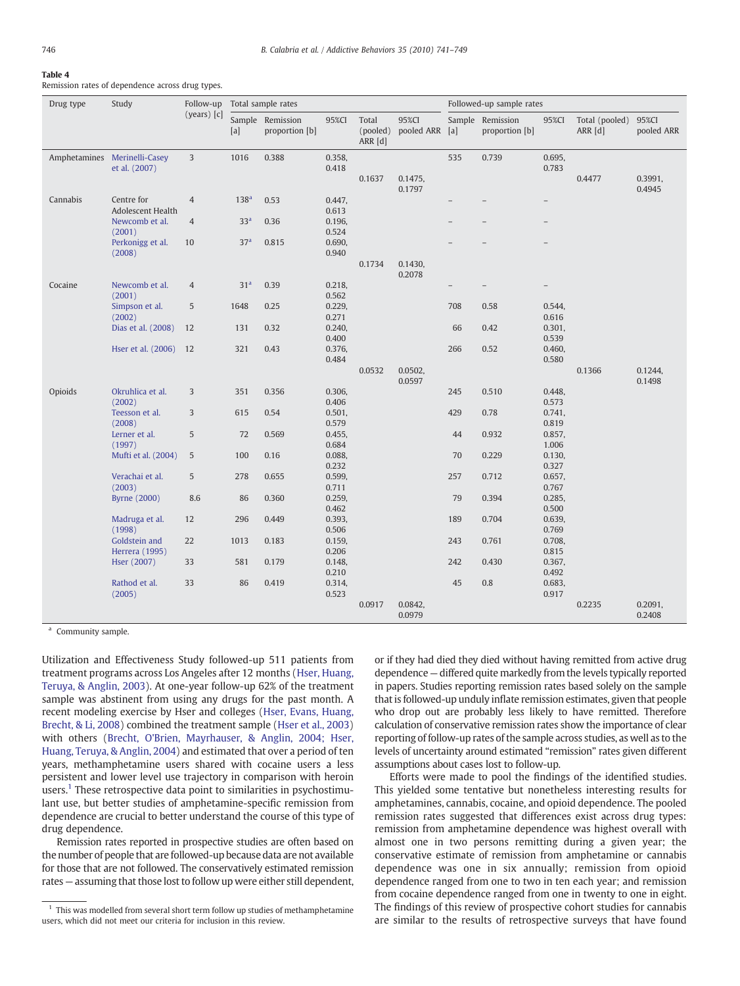# <span id="page-5-0"></span>Table 4

Remission rates of dependence across drug types.

| Drug type | Study                         | Follow-up      | Total sample rates |                                    |                 |                                     |                         | Followed-up sample rates |                                    |                          |                           |                     |
|-----------|-------------------------------|----------------|--------------------|------------------------------------|-----------------|-------------------------------------|-------------------------|--------------------------|------------------------------------|--------------------------|---------------------------|---------------------|
|           |                               | (years) [c]    | [a]                | Sample Remission<br>proportion [b] | 95%CI           | <b>Total</b><br>(pooled)<br>ARR [d] | 95%CI<br>pooled ARR [a] |                          | Sample Remission<br>proportion [b] | 95%CI                    | Total (pooled)<br>ARR [d] | 95%CI<br>pooled ARR |
|           | Amphetamines Merinelli-Casey  | 3              | 1016               | 0.388                              | 0.358,          |                                     |                         | 535                      | 0.739                              | 0.695,                   |                           |                     |
|           | et al. (2007)                 |                |                    |                                    | 0.418           | 0.1637                              | 0.1475,                 |                          |                                    | 0.783                    | 0.4477                    | 0.3991,             |
|           |                               |                |                    |                                    |                 |                                     | 0.1797                  |                          |                                    |                          |                           | 0.4945              |
| Cannabis  | Centre for                    | $\overline{4}$ | 138 <sup>a</sup>   | 0.53                               | 0.447,          |                                     |                         |                          |                                    |                          |                           |                     |
|           | Adolescent Health             |                |                    |                                    | 0.613           |                                     |                         |                          |                                    |                          |                           |                     |
|           | Newcomb et al.                | $\overline{4}$ | 33 <sup>a</sup>    | 0.36                               | 0.196,          |                                     |                         |                          |                                    |                          |                           |                     |
|           | (2001)<br>Perkonigg et al.    | 10             | 37 <sup>a</sup>    | 0.815                              | 0.524<br>0.690, |                                     |                         |                          |                                    |                          |                           |                     |
|           | (2008)                        |                |                    |                                    | 0.940           |                                     |                         |                          |                                    |                          |                           |                     |
|           |                               |                |                    |                                    |                 | 0.1734                              | 0.1430,                 |                          |                                    |                          |                           |                     |
|           |                               |                |                    |                                    |                 |                                     | 0.2078                  |                          |                                    |                          |                           |                     |
| Cocaine   | Newcomb et al.                | $\overline{4}$ | 31 <sup>a</sup>    | 0.39                               | 0.218,          |                                     |                         |                          |                                    | $\overline{\phantom{0}}$ |                           |                     |
|           | (2001)                        | 5              |                    |                                    | 0.562<br>0.229, |                                     |                         | 708                      | 0.58                               |                          |                           |                     |
|           | Simpson et al.<br>(2002)      |                | 1648               | 0.25                               | 0.271           |                                     |                         |                          |                                    | 0.544,<br>0.616          |                           |                     |
|           | Dias et al. (2008)            | 12             | 131                | 0.32                               | 0.240,          |                                     |                         | 66                       | 0.42                               | 0.301,                   |                           |                     |
|           |                               |                |                    |                                    | 0.400           |                                     |                         |                          |                                    | 0.539                    |                           |                     |
|           | Hser et al. (2006) 12         |                | 321                | 0.43                               | 0.376,          |                                     |                         | 266                      | 0.52                               | 0.460,                   |                           |                     |
|           |                               |                |                    |                                    | 0.484           |                                     |                         |                          |                                    | 0.580                    |                           |                     |
|           |                               |                |                    |                                    |                 | 0.0532                              | 0.0502,<br>0.0597       |                          |                                    |                          | 0.1366                    | 0.1244,<br>0.1498   |
| Opioids   | Okruhlica et al.              | 3              | 351                | 0.356                              | 0.306,          |                                     |                         | 245                      | 0.510                              | 0.448,                   |                           |                     |
|           | (2002)                        |                |                    |                                    | 0.406           |                                     |                         |                          |                                    | 0.573                    |                           |                     |
|           | Teesson et al.                | 3              | 615                | 0.54                               | 0.501,          |                                     |                         | 429                      | 0.78                               | 0.741,                   |                           |                     |
|           | (2008)<br>Lerner et al.       | 5              | 72                 | 0.569                              | 0.579<br>0.455, |                                     |                         | 44                       | 0.932                              | 0.819<br>0.857,          |                           |                     |
|           | (1997)                        |                |                    |                                    | 0.684           |                                     |                         |                          |                                    | 1.006                    |                           |                     |
|           | Mufti et al. (2004)           | 5              | 100                | 0.16                               | 0.088,          |                                     |                         | 70                       | 0.229                              | 0.130,                   |                           |                     |
|           |                               |                |                    |                                    | 0.232           |                                     |                         |                          |                                    | 0.327                    |                           |                     |
|           | Verachai et al.               | 5              | 278                | 0.655                              | 0.599,          |                                     |                         | 257                      | 0.712                              | 0.657,                   |                           |                     |
|           | (2003)<br><b>Byrne</b> (2000) | 8.6            | 86                 | 0.360                              | 0.711<br>0.259, |                                     |                         | 79                       | 0.394                              | 0.767<br>0.285,          |                           |                     |
|           |                               |                |                    |                                    | 0.462           |                                     |                         |                          |                                    | 0.500                    |                           |                     |
|           | Madruga et al.                | 12             | 296                | 0.449                              | 0.393,          |                                     |                         | 189                      | 0.704                              | 0.639,                   |                           |                     |
|           | (1998)                        |                |                    |                                    | 0.506           |                                     |                         |                          |                                    | 0.769                    |                           |                     |
|           | Goldstein and                 | 22             | 1013               | 0.183                              | 0.159,          |                                     |                         | 243                      | 0.761                              | 0.708,                   |                           |                     |
|           | Herrera (1995)                |                |                    |                                    | 0.206           |                                     |                         |                          |                                    | 0.815                    |                           |                     |
|           | Hser (2007)                   | 33             | 581                | 0.179                              | 0.148,<br>0.210 |                                     |                         | 242                      | 0.430                              | 0.367,<br>0.492          |                           |                     |
|           | Rathod et al.                 | 33             | 86                 | 0.419                              | 0.314,          |                                     |                         | 45                       | 0.8                                | 0.683,                   |                           |                     |
|           | (2005)                        |                |                    |                                    | 0.523           |                                     |                         |                          |                                    | 0.917                    |                           |                     |
|           |                               |                |                    |                                    |                 | 0.0917                              | 0.0842,<br>0.0979       |                          |                                    |                          | 0.2235                    | 0.2091,<br>0.2408   |

<sup>a</sup> Community sample.

Utilization and Effectiveness Study followed-up 511 patients from treatment programs across Los Angeles after 12 months ([Hser, Huang,](#page-7-0) [Teruya, & Anglin, 2003](#page-7-0)). At one-year follow-up 62% of the treatment sample was abstinent from using any drugs for the past month. A recent modeling exercise by Hser and colleges [\(Hser, Evans, Huang,](#page-7-0) [Brecht, & Li, 2008\)](#page-7-0) combined the treatment sample [\(Hser et al., 2003](#page-7-0)) with others ([Brecht, O'Brien, Mayrhauser, & Anglin, 2004; Hser,](#page-7-0) [Huang, Teruya, & Anglin, 2004\)](#page-7-0) and estimated that over a period of ten years, methamphetamine users shared with cocaine users a less persistent and lower level use trajectory in comparison with heroin users.<sup>1</sup> These retrospective data point to similarities in psychostimulant use, but better studies of amphetamine-specific remission from dependence are crucial to better understand the course of this type of drug dependence.

Remission rates reported in prospective studies are often based on the number of people that are followed-up because data are not available for those that are not followed. The conservatively estimated remission rates — assuming that those lost to follow up were either still dependent,

or if they had died they died without having remitted from active drug dependence — differed quite markedly from the levels typically reported in papers. Studies reporting remission rates based solely on the sample that is followed-up unduly inflate remission estimates, given that people who drop out are probably less likely to have remitted. Therefore calculation of conservative remission rates show the importance of clear reporting of follow-up rates of the sample across studies, as well as to the levels of uncertainty around estimated "remission" rates given different assumptions about cases lost to follow-up.

Efforts were made to pool the findings of the identified studies. This yielded some tentative but nonetheless interesting results for amphetamines, cannabis, cocaine, and opioid dependence. The pooled remission rates suggested that differences exist across drug types: remission from amphetamine dependence was highest overall with almost one in two persons remitting during a given year; the conservative estimate of remission from amphetamine or cannabis dependence was one in six annually; remission from opioid dependence ranged from one to two in ten each year; and remission from cocaine dependence ranged from one in twenty to one in eight. The findings of this review of prospective cohort studies for cannabis are similar to the results of retrospective surveys that have found

 $1$  This was modelled from several short term follow up studies of methamphetamine users, which did not meet our criteria for inclusion in this review.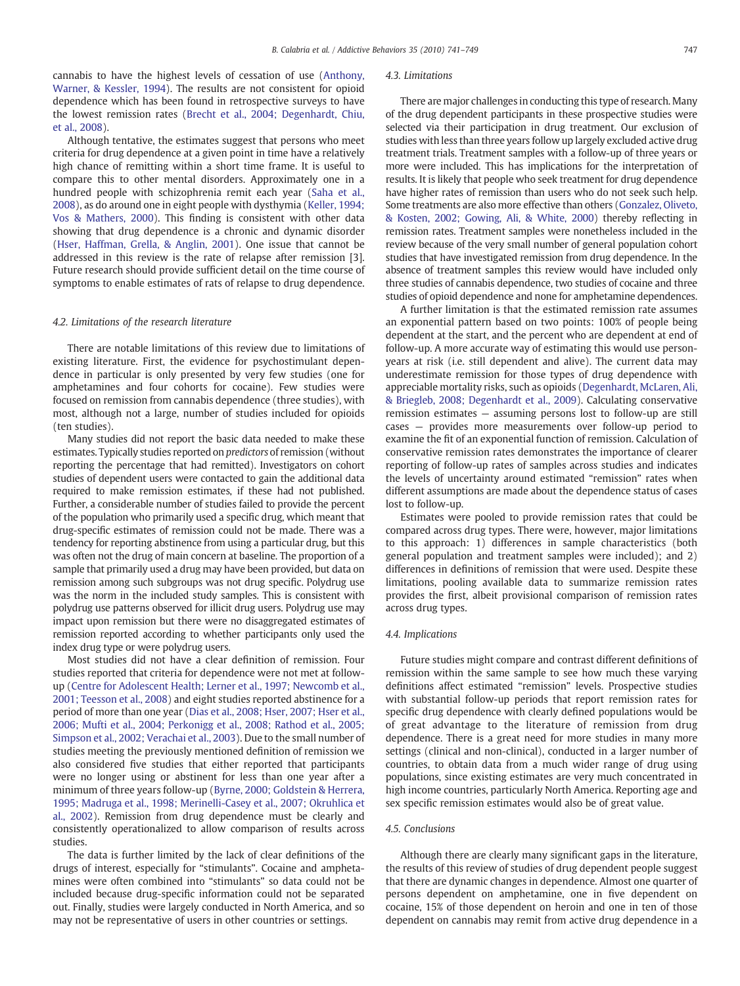cannabis to have the highest levels of cessation of use [\(Anthony,](#page-7-0) [Warner, & Kessler, 1994](#page-7-0)). The results are not consistent for opioid dependence which has been found in retrospective surveys to have the lowest remission rates [\(Brecht et al., 2004; Degenhardt, Chiu,](#page-7-0) [et al., 2008\)](#page-7-0).

Although tentative, the estimates suggest that persons who meet criteria for drug dependence at a given point in time have a relatively high chance of remitting within a short time frame. It is useful to compare this to other mental disorders. Approximately one in a hundred people with schizophrenia remit each year [\(Saha et al.,](#page-8-0) [2008\)](#page-8-0), as do around one in eight people with dysthymia ([Keller, 1994;](#page-7-0) [Vos & Mathers, 2000\)](#page-7-0). This finding is consistent with other data showing that drug dependence is a chronic and dynamic disorder [\(Hser, Haffman, Grella, & Anglin, 2001\)](#page-7-0). One issue that cannot be addressed in this review is the rate of relapse after remission [3]. Future research should provide sufficient detail on the time course of symptoms to enable estimates of rats of relapse to drug dependence.

#### 4.2. Limitations of the research literature

There are notable limitations of this review due to limitations of existing literature. First, the evidence for psychostimulant dependence in particular is only presented by very few studies (one for amphetamines and four cohorts for cocaine). Few studies were focused on remission from cannabis dependence (three studies), with most, although not a large, number of studies included for opioids (ten studies).

Many studies did not report the basic data needed to make these estimates. Typically studies reported on predictors of remission (without reporting the percentage that had remitted). Investigators on cohort studies of dependent users were contacted to gain the additional data required to make remission estimates, if these had not published. Further, a considerable number of studies failed to provide the percent of the population who primarily used a specific drug, which meant that drug-specific estimates of remission could not be made. There was a tendency for reporting abstinence from using a particular drug, but this was often not the drug of main concern at baseline. The proportion of a sample that primarily used a drug may have been provided, but data on remission among such subgroups was not drug specific. Polydrug use was the norm in the included study samples. This is consistent with polydrug use patterns observed for illicit drug users. Polydrug use may impact upon remission but there were no disaggregated estimates of remission reported according to whether participants only used the index drug type or were polydrug users.

Most studies did not have a clear definition of remission. Four studies reported that criteria for dependence were not met at followup [\(Centre for Adolescent Health; Lerner et al., 1997; Newcomb et al.,](#page-7-0) [2001; Teesson et al., 2008\)](#page-7-0) and eight studies reported abstinence for a period of more than one year [\(Dias et al., 2008; Hser, 2007; Hser et al.,](#page-7-0) [2006; Mufti et al., 2004; Perkonigg et al., 2008; Rathod et al., 2005;](#page-7-0) [Simpson et al., 2002; Verachai et al., 2003\)](#page-7-0). Due to the small number of studies meeting the previously mentioned definition of remission we also considered five studies that either reported that participants were no longer using or abstinent for less than one year after a minimum of three years follow-up [\(Byrne, 2000; Goldstein & Herrera,](#page-7-0) [1995; Madruga et al., 1998; Merinelli-Casey et al., 2007; Okruhlica et](#page-7-0) [al., 2002\)](#page-7-0). Remission from drug dependence must be clearly and consistently operationalized to allow comparison of results across studies.

The data is further limited by the lack of clear definitions of the drugs of interest, especially for "stimulants". Cocaine and amphetamines were often combined into "stimulants" so data could not be included because drug-specific information could not be separated out. Finally, studies were largely conducted in North America, and so may not be representative of users in other countries or settings.

# 4.3. Limitations

There are major challenges in conducting this type of research. Many of the drug dependent participants in these prospective studies were selected via their participation in drug treatment. Our exclusion of studies with less than three years follow up largely excluded active drug treatment trials. Treatment samples with a follow-up of three years or more were included. This has implications for the interpretation of results. It is likely that people who seek treatment for drug dependence have higher rates of remission than users who do not seek such help. Some treatments are also more effective than others ([Gonzalez, Oliveto,](#page-7-0) [& Kosten, 2002; Gowing, Ali, & White, 2000](#page-7-0)) thereby reflecting in remission rates. Treatment samples were nonetheless included in the review because of the very small number of general population cohort studies that have investigated remission from drug dependence. In the absence of treatment samples this review would have included only three studies of cannabis dependence, two studies of cocaine and three studies of opioid dependence and none for amphetamine dependences.

A further limitation is that the estimated remission rate assumes an exponential pattern based on two points: 100% of people being dependent at the start, and the percent who are dependent at end of follow-up. A more accurate way of estimating this would use personyears at risk (i.e. still dependent and alive). The current data may underestimate remission for those types of drug dependence with appreciable mortality risks, such as opioids [\(Degenhardt, McLaren, Ali,](#page-7-0) [& Briegleb, 2008; Degenhardt et al., 2009](#page-7-0)). Calculating conservative remission estimates — assuming persons lost to follow-up are still cases — provides more measurements over follow-up period to examine the fit of an exponential function of remission. Calculation of conservative remission rates demonstrates the importance of clearer reporting of follow-up rates of samples across studies and indicates the levels of uncertainty around estimated "remission" rates when different assumptions are made about the dependence status of cases lost to follow-up.

Estimates were pooled to provide remission rates that could be compared across drug types. There were, however, major limitations to this approach: 1) differences in sample characteristics (both general population and treatment samples were included); and 2) differences in definitions of remission that were used. Despite these limitations, pooling available data to summarize remission rates provides the first, albeit provisional comparison of remission rates across drug types.

#### 4.4. Implications

Future studies might compare and contrast different definitions of remission within the same sample to see how much these varying definitions affect estimated "remission" levels. Prospective studies with substantial follow-up periods that report remission rates for specific drug dependence with clearly defined populations would be of great advantage to the literature of remission from drug dependence. There is a great need for more studies in many more settings (clinical and non-clinical), conducted in a larger number of countries, to obtain data from a much wider range of drug using populations, since existing estimates are very much concentrated in high income countries, particularly North America. Reporting age and sex specific remission estimates would also be of great value.

# 4.5. Conclusions

Although there are clearly many significant gaps in the literature, the results of this review of studies of drug dependent people suggest that there are dynamic changes in dependence. Almost one quarter of persons dependent on amphetamine, one in five dependent on cocaine, 15% of those dependent on heroin and one in ten of those dependent on cannabis may remit from active drug dependence in a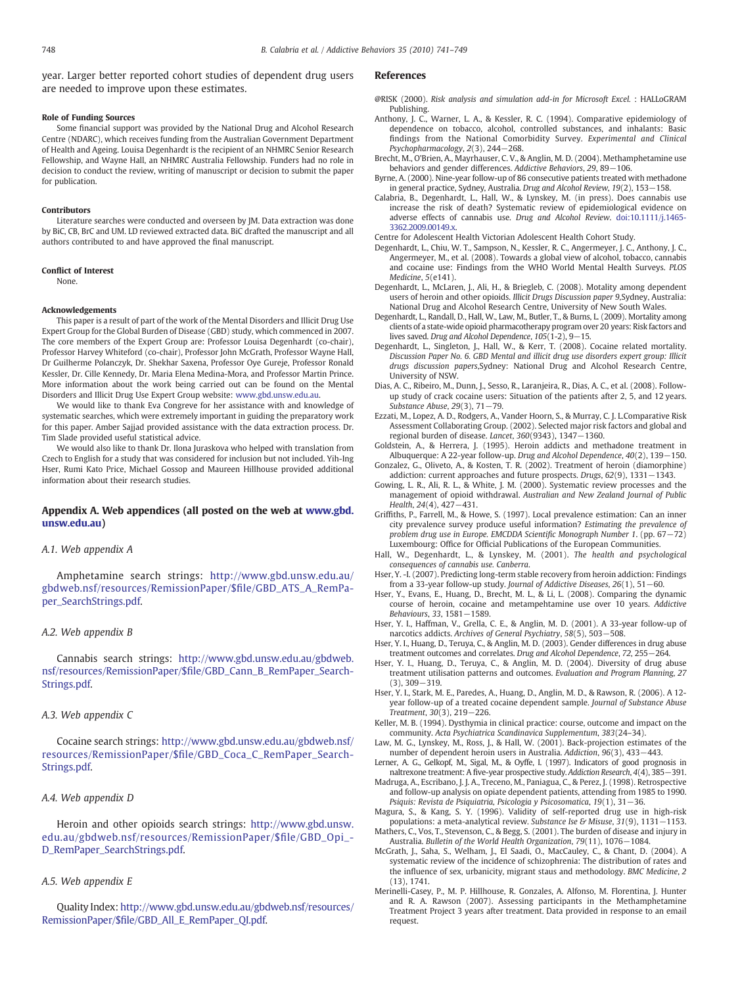<span id="page-7-0"></span>year. Larger better reported cohort studies of dependent drug users are needed to improve upon these estimates.

#### Role of Funding Sources

Some financial support was provided by the National Drug and Alcohol Research Centre (NDARC), which receives funding from the Australian Government Department of Health and Ageing. Louisa Degenhardt is the recipient of an NHMRC Senior Research Fellowship, and Wayne Hall, an NHMRC Australia Fellowship. Funders had no role in decision to conduct the review, writing of manuscript or decision to submit the paper for publication.

#### Contributors

Literature searches were conducted and overseen by JM. Data extraction was done by BiC, CB, BrC and UM. LD reviewed extracted data. BiC drafted the manuscript and all authors contributed to and have approved the final manuscript.

#### Conflict of Interest

None.

#### Acknowledgements

This paper is a result of part of the work of the Mental Disorders and Illicit Drug Use Expert Group for the Global Burden of Disease (GBD) study, which commenced in 2007. The core members of the Expert Group are: Professor Louisa Degenhardt (co-chair), Professor Harvey Whiteford (co-chair), Professor John McGrath, Professor Wayne Hall, Dr Guilherme Polanczyk, Dr. Shekhar Saxena, Professor Oye Gureje, Professor Ronald Kessler, Dr. Cille Kennedy, Dr. Maria Elena Medina-Mora, and Professor Martin Prince. More information about the work being carried out can be found on the Mental Disorders and Illicit Drug Use Expert Group website: [www.gbd.unsw.edu.au.](http://www.gbd.unsw.edu.au)

We would like to thank Eva Congreve for her assistance with and knowledge of systematic searches, which were extremely important in guiding the preparatory work for this paper. Amber Sajjad provided assistance with the data extraction process. Dr. Tim Slade provided useful statistical advice.

We would also like to thank Dr. Ilona Juraskova who helped with translation from Czech to English for a study that was considered for inclusion but not included. Yih-Ing Hser, Rumi Kato Price, Michael Gossop and Maureen Hillhouse provided additional information about their research studies.

# Appendix A. Web appendices (all posted on the web at [www.gbd.](http://www.gbd.unsw.edu.au) [unsw.edu.au\)](http://www.gbd.unsw.edu.au)

#### A.1. Web appendix A

Amphetamine search strings: [http://www.gbd.unsw.edu.au/](http://www.gbd.unsw.edu.au/gbdweb.nsf/resources/RemissionPaper/1ile/GBD_ATS_A_RemPaper_SearchStrings.pdf) [gbdweb.nsf/resources/RemissionPaper/\\$](http://www.gbd.unsw.edu.au/gbdweb.nsf/resources/RemissionPaper/1ile/GBD_ATS_A_RemPaper_SearchStrings.pdf)file/GBD\_ATS\_A\_RemPa[per\\_SearchStrings.pdf.](http://www.gbd.unsw.edu.au/gbdweb.nsf/resources/RemissionPaper/1ile/GBD_ATS_A_RemPaper_SearchStrings.pdf)

#### A.2. Web appendix B

Cannabis search strings: [http://www.gbd.unsw.edu.au/gbdweb.](http://www.gbd.unsw.edu.au/gbdweb.nsf/resources/RemissionPaper/1ile/GBD_Cann_B_RemPaper_SearchStrings.pdf) nsf/resources/RemissionPaper/\$fi[le/GBD\\_Cann\\_B\\_RemPaper\\_Search-](http://www.gbd.unsw.edu.au/gbdweb.nsf/resources/RemissionPaper/1ile/GBD_Cann_B_RemPaper_SearchStrings.pdf)[Strings.pdf.](http://www.gbd.unsw.edu.au/gbdweb.nsf/resources/RemissionPaper/1ile/GBD_Cann_B_RemPaper_SearchStrings.pdf)

#### A.3. Web appendix C

Cocaine search strings: [http://www.gbd.unsw.edu.au/gbdweb.nsf/](http://www.gbd.unsw.edu.au/gbdweb.nsf/resources/RemissionPaper/1ile/GBD_Coca_C_RemPaper_SearchStrings.pdf) resources/RemissionPaper/\$fi[le/GBD\\_Coca\\_C\\_RemPaper\\_Search-](http://www.gbd.unsw.edu.au/gbdweb.nsf/resources/RemissionPaper/1ile/GBD_Coca_C_RemPaper_SearchStrings.pdf)[Strings.pdf.](http://www.gbd.unsw.edu.au/gbdweb.nsf/resources/RemissionPaper/1ile/GBD_Coca_C_RemPaper_SearchStrings.pdf)

## A.4. Web appendix D

Heroin and other opioids search strings: [http://www.gbd.unsw.](http://www.gbd.unsw.edu.au/gbdweb.nsf/resources/RemissionPaper/1ile/GBD_Opi_D_RemPaper_SearchStrings.pdf) [edu.au/gbdweb.nsf/resources/RemissionPaper/\\$](http://www.gbd.unsw.edu.au/gbdweb.nsf/resources/RemissionPaper/1ile/GBD_Opi_D_RemPaper_SearchStrings.pdf)file/GBD\_Opi\_- [D\\_RemPaper\\_SearchStrings.pdf](http://www.gbd.unsw.edu.au/gbdweb.nsf/resources/RemissionPaper/1ile/GBD_Opi_D_RemPaper_SearchStrings.pdf).

#### A.5. Web appendix E

Quality Index: [http://www.gbd.unsw.edu.au/gbdweb.nsf/resources/](http://www.gbd.unsw.edu.au/gbdweb.nsf/resources/RemissionPaper/1ile/GBD_All_E_RemPaper_QI.pdf) RemissionPaper/\$fi[le/GBD\\_All\\_E\\_RemPaper\\_QI.pdf.](http://www.gbd.unsw.edu.au/gbdweb.nsf/resources/RemissionPaper/1ile/GBD_All_E_RemPaper_QI.pdf)

#### References

@RISK (2000). Risk analysis and simulation add-in for Microsoft Excel. : HALLoGRAM Publishing.

- Anthony, J. C., Warner, L. A., & Kessler, R. C. (1994). Comparative epidemiology of dependence on tobacco, alcohol, controlled substances, and inhalants: Basic findings from the National Comorbidity Survey. Experimental and Clinical Psychopharmacology, 2(3), 244−268.
- Brecht, M., O'Brien, A., Mayrhauser, C. V., & Anglin, M. D. (2004). Methamphetamine use behaviors and gender differences. Addictive Behaviors, 29, 89−106.
- Byrne, A. (2000). Nine-year follow-up of 86 consecutive patients treated with methadone in general practice, Sydney, Australia. Drug and Alcohol Review, 19(2), 153−158.
- Calabria, B., Degenhardt, L., Hall, W., & Lynskey, M. (in press). Does cannabis use increase the risk of death? Systematic review of epidemiological evidence on adverse effects of cannabis use. Drug and Alcohol Review. doi:10.1111/j.1465- 3362.2009.00149.x.

Centre for Adolescent Health Victorian Adolescent Health Cohort Study.

- Degenhardt, L., Chiu, W. T., Sampson, N., Kessler, R. C., Angermeyer, J. C., Anthony, J. C., Angermeyer, M., et al. (2008). Towards a global view of alcohol, tobacco, cannabis and cocaine use: Findings from the WHO World Mental Health Surveys. PLOS Medicine, 5(e141).
- Degenhardt, L., McLaren, J., Ali, H., & Briegleb, C. (2008). Motality among dependent users of heroin and other opioids. Illicit Drugs Discussion paper 9,Sydney, Australia: National Drug and Alcohol Research Centre, University of New South Wales.
- Degenhardt, L., Randall, D., Hall, W., Law, M., Butler, T., & Burns, L. (2009). Mortality among clients of a state-wide opioid pharmacotherapy program over 20 years: Risk factors and lives saved. Drug and Alcohol Dependence, 105(1-2), 9−15.
- Degenhardt, L., Singleton, J., Hall, W., & Kerr, T. (2008). Cocaine related mortality. Discussion Paper No. 6. GBD Mental and illicit drug use disorders expert group: Illicit drugs discussion papers,Sydney: National Drug and Alcohol Research Centre, University of NSW.
- Dias, A. C., Ribeiro, M., Dunn, J., Sesso, R., Laranjeira, R., Dias, A. C., et al. (2008). Followup study of crack cocaine users: Situation of the patients after 2, 5, and 12 years. Substance Abuse, 29(3), 71−79.
- Ezzati, M., Lopez, A. D., Rodgers, A., Vander Hoorn, S., & Murray, C. J. L.Comparative Risk Assessment Collaborating Group. (2002). Selected major risk factors and global and regional burden of disease. Lancet, 360(9343), 1347−1360.
- Goldstein, A., & Herrera, J. (1995). Heroin addicts and methadone treatment in Albuquerque: A 22-year follow-up. Drug and Alcohol Dependence, 40(2), 139−150. Gonzalez, G., Oliveto, A., & Kosten, T. R. (2002). Treatment of heroin (diamorphine)
- addiction: current approaches and future prospects. Drugs, 62(9), 1331−1343. Gowing, L. R., Ali, R. L., & White, J. M. (2000). Systematic review processes and the
- management of opioid withdrawal. Australian and New Zealand Journal of Public Health, 24(4), 427−431.
- Griffiths, P., Farrell, M., & Howe, S. (1997). Local prevalence estimation: Can an inner city prevalence survey produce useful information? Estimating the prevalence of problem drug use in Europe. EMCDDA Scientific Monograph Number 1. (pp. 67−72) Luxembourg: Office for Official Publications of the European Communities.
- Hall, W., Degenhardt, L., & Lynskey, M. (2001). The health and psychological consequences of cannabis use. Canberra.
- Hser, Y. -I. (2007). Predicting long-term stable recovery from heroin addiction: Findings from a 33-year follow-up study. Journal of Addictive Diseases, 26(1), 51−60.
- Hser, Y., Evans, E., Huang, D., Brecht, M. L., & Li, L. (2008). Comparing the dynamic course of heroin, cocaine and metampehtamine use over 10 years. Addictive Behaviours, 33, 1581−1589.
- Hser, Y. I., Haffman, V., Grella, C. E., & Anglin, M. D. (2001). A 33-year follow-up of narcotics addicts. Archives of General Psychiatry, 58(5), 503−508.
- Hser, Y. I., Huang, D., Teruya, C., & Anglin, M. D. (2003). Gender differences in drug abuse treatment outcomes and correlates. Drug and Alcohol Dependence, 72, 255−264.
- Hser, Y. I., Huang, D., Teruya, C., & Anglin, M. D. (2004). Diversity of drug abuse treatment utilisation patterns and outcomes. Evaluation and Program Planning, 27 (3), 309−319.
- Hser, Y. I., Stark, M. E., Paredes, A., Huang, D., Anglin, M. D., & Rawson, R. (2006). A 12 year follow-up of a treated cocaine dependent sample. Journal of Substance Abuse Treatment, 30(3), 219−226.
- Keller, M. B. (1994). Dysthymia in clinical practice: course, outcome and impact on the community. Acta Psychiatrica Scandinavica Supplementum, 383(24–34).
- Law, M. G., Lynskey, M., Ross, J., & Hall, W. (2001). Back-projection estimates of the number of dependent heroin users in Australia. Addiction, 96(3), 433−443.
- Lerner, A. G., Gelkopf, M., Sigal, M., & Oyffe, I. (1997). Indicators of good prognosis in naltrexone treatment: A five-year prospective study. Addiction Research, 4(4), 385−391.
- Madruga, A., Escribano, J. J. A., Treceno, M., Paniagua, C., & Perez, J. (1998). Retrospective and follow-up analysis on opiate dependent patients, attending from 1985 to 1990. Psiquis: Revista de Psiquiatria, Psicologia y Psicosomatica, 19(1), 31−36.
- Magura, S., & Kang, S. Y. (1996). Validity of self-reported drug use in high-risk populations: a meta-analytical review. Substance Ise & Misuse, 31(9), 1131−1153.
- Mathers, C., Vos, T., Stevenson, C., & Begg, S. (2001). The burden of disease and injury in Australia. Bulletin of the World Health Organization, 79(11), 1076−1084.
- McGrath, J., Saha, S., Welham, J., El Saadi, O., MacCauley, C., & Chant, D. (2004). A systematic review of the incidence of schizophrenia: The distribution of rates and the influence of sex, urbanicity, migrant staus and methodology. BMC Medicine, 2 (13), 1741.
- Merinelli-Casey, P., M. P. Hillhouse, R. Gonzales, A. Alfonso, M. Florentina, J. Hunter and R. A. Rawson (2007). Assessing participants in the Methamphetamine Treatment Project 3 years after treatment. Data provided in response to an email request.